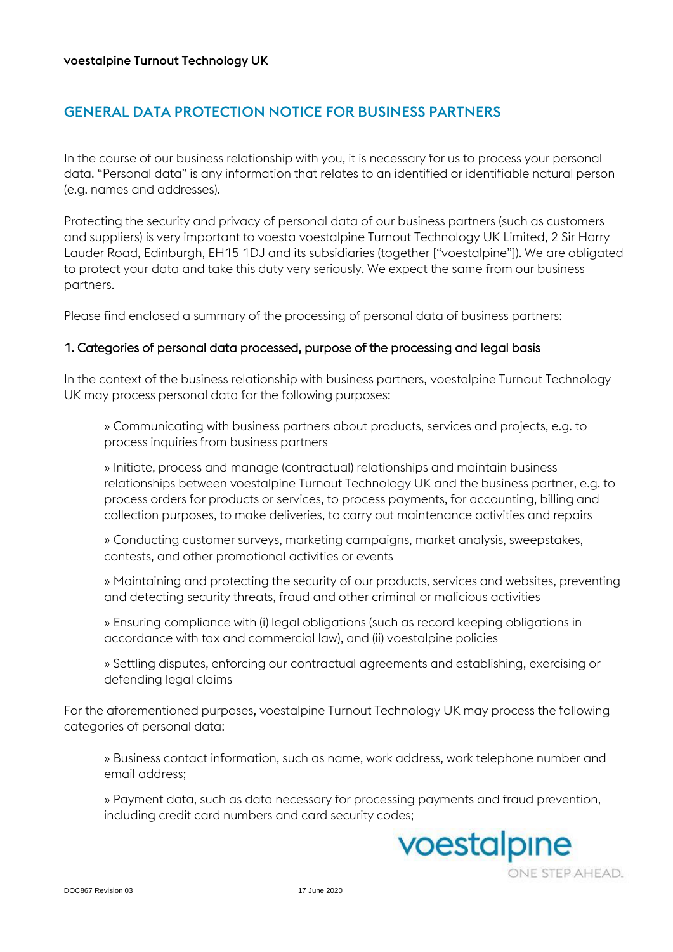# GENERAL DATA PROTECTION NOTICE FOR BUSINESS PARTNERS

In the course of our business relationship with you, it is necessary for us to process your personal data. "Personal data" is any information that relates to an identified or identifiable natural person (e.g. names and addresses).

Protecting the security and privacy of personal data of our business partners (such as customers and suppliers) is very important to voesta voestalpine Turnout Technology UK Limited, 2 Sir Harry Lauder Road, Edinburgh, EH15 1DJ and its subsidiaries (together ["voestalpine"]). We are obligated to protect your data and take this duty very seriously. We expect the same from our business partners.

Please find enclosed a summary of the processing of personal data of business partners:

## 1. Categories of personal data processed, purpose of the processing and legal basis

In the context of the business relationship with business partners, voestalpine Turnout Technology UK may process personal data for the following purposes:

» Communicating with business partners about products, services and projects, e.g. to process inquiries from business partners

» Initiate, process and manage (contractual) relationships and maintain business relationships between voestalpine Turnout Technology UK and the business partner, e.g. to process orders for products or services, to process payments, for accounting, billing and collection purposes, to make deliveries, to carry out maintenance activities and repairs

» Conducting customer surveys, marketing campaigns, market analysis, sweepstakes, contests, and other promotional activities or events

» Maintaining and protecting the security of our products, services and websites, preventing and detecting security threats, fraud and other criminal or malicious activities

» Ensuring compliance with (i) legal obligations (such as record keeping obligations in accordance with tax and commercial law), and (ii) voestalpine policies

» Settling disputes, enforcing our contractual agreements and establishing, exercising or defending legal claims

For the aforementioned purposes, voestalpine Turnout Technology UK may process the following categories of personal data:

» Business contact information, such as name, work address, work telephone number and email address;

» Payment data, such as data necessary for processing payments and fraud prevention, including credit card numbers and card security codes;

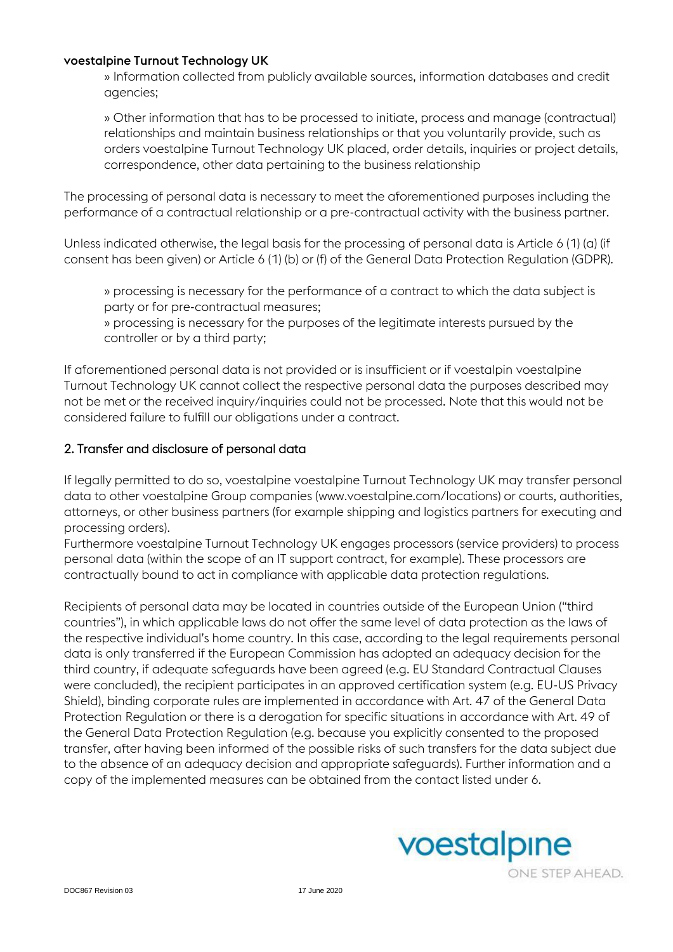#### voestalpine Turnout Technology UK

» Information collected from publicly available sources, information databases and credit agencies;

» Other information that has to be processed to initiate, process and manage (contractual) relationships and maintain business relationships or that you voluntarily provide, such as orders voestalpine Turnout Technology UK placed, order details, inquiries or project details, correspondence, other data pertaining to the business relationship

The processing of personal data is necessary to meet the aforementioned purposes including the performance of a contractual relationship or a pre-contractual activity with the business partner.

Unless indicated otherwise, the legal basis for the processing of personal data is Article 6 (1) (a) (if consent has been given) or Article 6 (1) (b) or (f) of the General Data Protection Regulation (GDPR).

» processing is necessary for the performance of a contract to which the data subject is party or for pre-contractual measures;

» processing is necessary for the purposes of the legitimate interests pursued by the controller or by a third party;

If aforementioned personal data is not provided or is insufficient or if voestalpin voestalpine Turnout Technology UK cannot collect the respective personal data the purposes described may not be met or the received inquiry/inquiries could not be processed. Note that this would not be considered failure to fulfill our obligations under a contract.

# 2. Transfer and disclosure of personal data

If legally permitted to do so, voestalpine voestalpine Turnout Technology UK may transfer personal data to other voestalpine Group companies (www.voestalpine.com/locations) or courts, authorities, attorneys, or other business partners (for example shipping and logistics partners for executing and processing orders).

Furthermore voestalpine Turnout Technology UK engages processors (service providers) to process personal data (within the scope of an IT support contract, for example). These processors are contractually bound to act in compliance with applicable data protection regulations.

Recipients of personal data may be located in countries outside of the European Union ("third countries"), in which applicable laws do not offer the same level of data protection as the laws of the respective individual's home country. In this case, according to the legal requirements personal data is only transferred if the European Commission has adopted an adequacy decision for the third country, if adequate safeguards have been agreed (e.g. EU Standard Contractual Clauses were concluded), the recipient participates in an approved certification system (e.g. EU-US Privacy Shield), binding corporate rules are implemented in accordance with Art. 47 of the General Data Protection Regulation or there is a derogation for specific situations in accordance with Art. 49 of the General Data Protection Regulation (e.g. because you explicitly consented to the proposed transfer, after having been informed of the possible risks of such transfers for the data subject due to the absence of an adequacy decision and appropriate safeguards). Further information and a copy of the implemented measures can be obtained from the contact listed under 6.

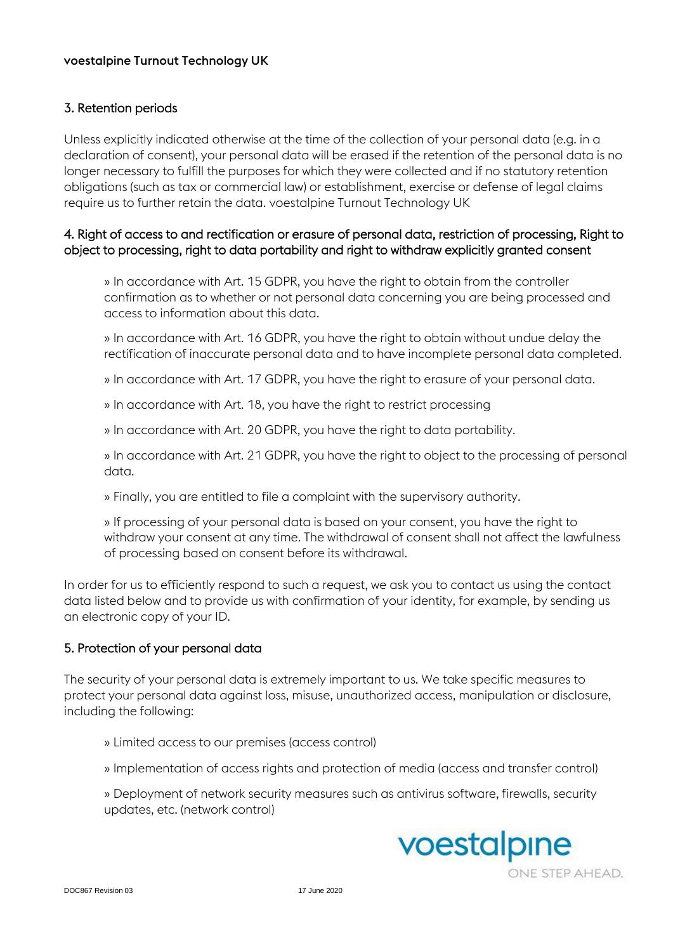# 3. Retention periods

Unless explicitly indicated otherwise at the time of the collection of your personal data (e.g. in a declaration of consent), your personal data will be erased if the retention of the personal data is no longer necessary to fulfill the purposes for which they were collected and if no statutory retention obligations (such as tax or commercial law) or establishment, exercise or defense of legal claims require us to further retain the data. voestalpine Turnout Technology UK

# 4. Right of access to and rectification or erasure of personal data, restriction of processing, Right to object to processing, right to data portability and right to withdraw explicitly granted consent

» In accordance with Art. 15 GDPR, you have the right to obtain from the controller confirmation as to whether or not personal data concerning you are being processed and access to information about this data.

» In accordance with Art. 16 GDPR, you have the right to obtain without undue delay the rectification of inaccurate personal data and to have incomplete personal data completed.

» In accordance with Art. 17 GDPR, you have the right to erasure of your personal data.

» In accordance with Art. 18, you have the right to restrict processing

» In accordance with Art. 20 GDPR, you have the right to data portability.

» In accordance with Art. 21 GDPR, you have the right to object to the processing of personal data.

» Finally, you are entitled to file a complaint with the supervisory authority.

» If processing of your personal data is based on your consent, you have the right to withdraw your consent at any time. The withdrawal of consent shall not affect the lawfulness of processing based on consent before its withdrawal.

In order for us to efficiently respond to such a request, we ask you to contact us using the contact data listed below and to provide us with confirmation of your identity, for example, by sending us an electronic copy of your ID.

# 5. Protection of your personal data

The security of your personal data is extremely important to us. We take specific measures to protect your personal data against loss, misuse, unauthorized access, manipulation or disclosure, including the following:

» Limited access to our premises (access control)

» Implementation of access rights and protection of media (access and transfer control)

» Deployment of network security measures such as antivirus software, firewalls, security updates, etc. (network control)